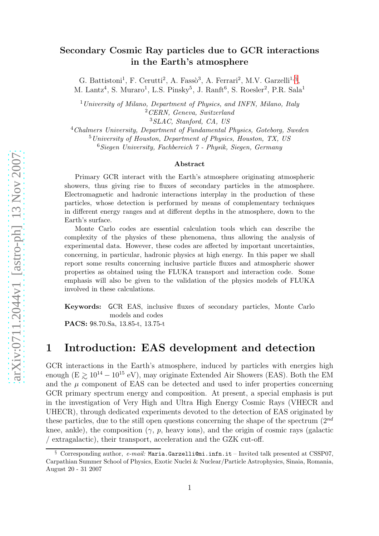### Secondary Cosmic Ray particles due to GCR interactions in the Earth's atmosphere

G. Battistoni<sup>1</sup>, F. Cerutti<sup>2</sup>, A. Fasso<sup>3</sup>, A. Ferrari<sup>2</sup>, M.V. Garzelli<sup>1, [§](#page-0-0)</sup>, M. Lantz<sup>4</sup>, S. Muraro<sup>1</sup>, L.S. Pinsky<sup>5</sup>, J. Ranft<sup>6</sup>, S. Roesler<sup>2</sup>, P.R. Sala<sup>1</sup>

 $1$ University of Milano, Department of Physics, and INFN, Milano, Italy <sup>2</sup>CERN, Geneva, Switzerland

<sup>3</sup>SLAC, Stanford, CA, US

<sup>4</sup>Chalmers University, Department of Fundamental Physics, Goteborg, Sweden <sup>5</sup>University of Houston, Department of Physics, Houston, TX, US

 $6Siegen University, Fachbereich 7 - Physik, Siegen, Germany$ 

#### Abstract

Primary GCR interact with the Earth's atmosphere originating atmospheric showers, thus giving rise to fluxes of secondary particles in the atmosphere. Electromagnetic and hadronic interactions interplay in the production of these particles, whose detection is performed by means of complementary techniques in different energy ranges and at different depths in the atmosphere, down to the Earth's surface.

Monte Carlo codes are essential calculation tools which can describe the complexity of the physics of these phenomena, thus allowing the analysis of experimental data. However, these codes are affected by important uncertainties, concerning, in particular, hadronic physics at high energy. In this paper we shall report some results concerning inclusive particle fluxes and atmospheric shower properties as obtained using the FLUKA transport and interaction code. Some emphasis will also be given to the validation of the physics models of FLUKA involved in these calculations.

Keywords: GCR EAS, inclusive fluxes of secondary particles, Monte Carlo models and codes

PACS: 98.70.Sa, 13.85-t, 13.75-t

## 1 Introduction: EAS development and detection

GCR interactions in the Earth's atmosphere, induced by particles with energies high enough (E  $\gtrsim 10^{14} - 10^{15}$  eV), may originate Extended Air Showers (EAS). Both the EM and the  $\mu$  component of EAS can be detected and used to infer properties concerning GCR primary spectrum energy and composition. At present, a special emphasis is put in the investigation of Very High and Ultra High Energy Cosmic Rays (VHECR and UHECR), through dedicated experiments devoted to the detection of EAS originated by these particles, due to the still open questions concerning the shape of the spectrum  $(2^{nd}$ knee, ankle), the composition  $(\gamma, p, \text{heavy ions})$ , and the origin of cosmic rays (galactic / extragalactic), their transport, acceleration and the GZK cut-off.

<span id="page-0-0"></span>Corresponding author,  $e-mail$ : Maria.Garzelli@mi.infn.it – Invited talk presented at CSSP07, Carpathian Summer School of Physics, Exotic Nuclei & Nuclear/Particle Astrophysics, Sinaia, Romania, August 20 - 31 2007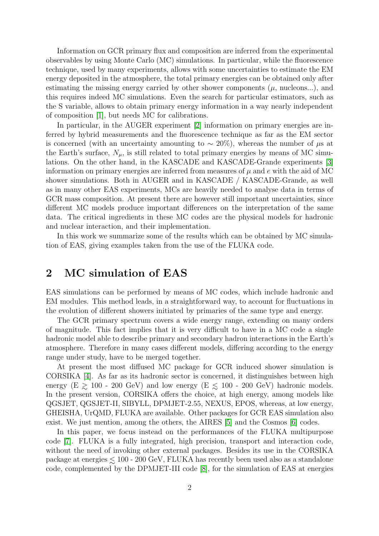Information on GCR primary flux and composition are inferred from the experimental observables by using Monte Carlo (MC) simulations. In particular, while the fluorescence technique, used by many experiments, allows with some uncertainties to estimate the EM energy deposited in the atmosphere, the total primary energies can be obtained only after estimating the missing energy carried by other shower components  $(\mu, \text{ nucleons} ...)$ , and this requires indeed MC simulations. Even the search for particular estimators, such as the S variable, allows to obtain primary energy information in a way nearly independent of composition [\[1\]](#page-6-0), but needs MC for calibrations.

In particular, in the AUGER experiment [\[2\]](#page-6-1) information on primary energies are inferred by hybrid measurements and the fluorescence technique as far as the EM sector is concerned (with an uncertainty amounting to  $\sim 20\%$ ), whereas the number of  $\mu$ s at the Earth's surface,  $N_{\mu}$ , is still related to total primary energies by means of MC simulations. On the other hand, in the KASCADE and KASCADE-Grande experiments [\[3\]](#page-6-2) information on primary energies are inferred from measures of  $\mu$  and  $e$  with the aid of MC shower simulations. Both in AUGER and in KASCADE / KASCADE-Grande, as well as in many other EAS experiments, MCs are heavily needed to analyse data in terms of GCR mass composition. At present there are however still important uncertainties, since different MC models produce important differences on the interpretation of the same data. The critical ingredients in these MC codes are the physical models for hadronic and nuclear interaction, and their implementation.

In this work we summarize some of the results which can be obtained by MC simulation of EAS, giving examples taken from the use of the FLUKA code.

## 2 MC simulation of EAS

EAS simulations can be performed by means of MC codes, which include hadronic and EM modules. This method leads, in a straightforward way, to account for fluctuations in the evolution of different showers initiated by primaries of the same type and energy.

The GCR primary spectrum covers a wide energy range, extending on many orders of magnitude. This fact implies that it is very difficult to have in a MC code a single hadronic model able to describe primary and secondary hadron interactions in the Earth's atmosphere. Therefore in many cases different models, differing according to the energy range under study, have to be merged together.

At present the most diffused MC package for GCR induced shower simulation is CORSIKA [\[4\]](#page-6-3). As far as its hadronic sector is concerned, it distinguishes between high energy (E  $\geq 100$  - 200 GeV) and low energy (E  $\leq 100$  - 200 GeV) hadronic models. In the present version, CORSIKA offers the choice, at high energy, among models like QGSJET, QGSJET-II, SIBYLL, DPMJET-2.55, NEXUS, EPOS, whereas, at low energy, GHEISHA, UrQMD, FLUKA are available. Other packages for GCR EAS simulation also exist. We just mention, among the others, the AIRES [\[5\]](#page-6-4) and the Cosmos [\[6\]](#page-6-5) codes.

In this paper, we focus instead on the performances of the FLUKA multipurpose code [\[7\]](#page-6-6). FLUKA is a fully integrated, high precision, transport and interaction code, without the need of invoking other external packages. Besides its use in the CORSIKA package at energies  $\lesssim 100$  - 200 GeV, FLUKA has recently been used also as a standalone code, complemented by the DPMJET-III code [\[8\]](#page-6-7), for the simulation of EAS at energies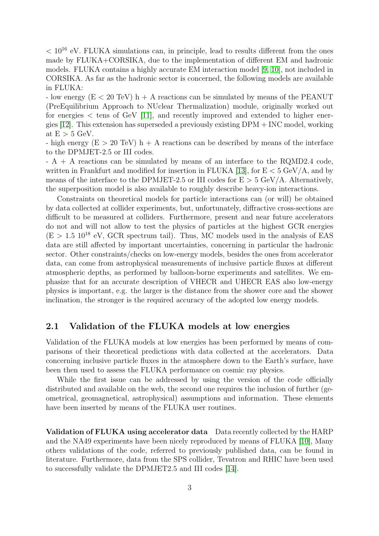$< 10^{16}$  eV. FLUKA simulations can, in principle, lead to results different from the ones made by FLUKA+CORSIKA, due to the implementation of different EM and hadronic models. FLUKA contains a highly accurate EM interaction model [\[9,](#page-6-8) [10\]](#page-6-9), not included in CORSIKA. As far as the hadronic sector is concerned, the following models are available in FLUKA:

- low energy  $(E < 20 \text{ TeV})$  h + A reactions can be simulated by means of the PEANUT (PreEquilibrium Approach to NUclear Thermalization) module, originally worked out for energies  $\lt$  tens of GeV [\[11\]](#page-6-10), and recently improved and extended to higher energies [\[12\]](#page-6-11). This extension has superseded a previously existing DPM + INC model, working at  $E > 5$  GeV.

- high energy  $(E > 20 \text{ TeV})$  h + A reactions can be described by means of the interface to the DPMJET-2.5 or III codes.

- A + A reactions can be simulated by means of an interface to the RQMD2.4 code, written in Frankfurt and modified for insertion in FLUKA [\[13\]](#page-6-12), for  $E < 5 \text{ GeV/A}$ , and by means of the interface to the DPMJET-2.5 or III codes for  $E > 5$  GeV/A. Alternatively, the superposition model is also available to roughly describe heavy-ion interactions.

Constraints on theoretical models for particle interactions can (or will) be obtained by data collected at collider experiments, but, unfortunately, diffractive cross-sections are difficult to be measured at colliders. Furthermore, present and near future accelerators do not and will not allow to test the physics of particles at the highest GCR energies  $(E > 1.5 \, 10^{18} \, \text{eV}$ , GCR spectrum tail). Thus, MC models used in the analysis of EAS data are still affected by important uncertainties, concerning in particular the hadronic sector. Other constraints/checks on low-energy models, besides the ones from accelerator data, can come from astrophysical measurements of inclusive particle fluxes at different atmospheric depths, as performed by balloon-borne experiments and satellites. We emphasize that for an accurate description of VHECR and UHECR EAS also low-energy physics is important, e.g. the larger is the distance from the shower core and the shower inclination, the stronger is the required accuracy of the adopted low energy models.

### 2.1 Validation of the FLUKA models at low energies

Validation of the FLUKA models at low energies has been performed by means of comparisons of their theoretical predictions with data collected at the accelerators. Data concerning inclusive particle fluxes in the atmosphere down to the Earth's surface, have been then used to assess the FLUKA performance on cosmic ray physics.

While the first issue can be addressed by using the version of the code officially distributed and available on the web, the second one requires the inclusion of further (geometrical, geomagnetical, astrophysical) assumptions and information. These elements have been inserted by means of the FLUKA user routines.

Validation of FLUKA using accelerator data Data recently collected by the HARP and the NA49 experiments have been nicely reproduced by means of FLUKA [\[10\]](#page-6-9), Many others validations of the code, referred to previously published data, can be found in literature. Furthermore, data from the SPS collider, Tevatron and RHIC have been used to successfully validate the DPMJET2.5 and III codes [\[14\]](#page-6-13).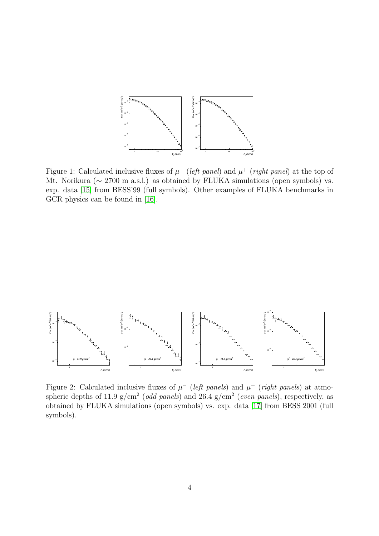

<span id="page-3-0"></span>Figure 1: Calculated inclusive fluxes of  $\mu^-$  (*left panel*) and  $\mu^+$  (*right panel*) at the top of Mt. Norikura (∼ 2700 m a.s.l.) as obtained by FLUKA simulations (open symbols) vs. exp. data [\[15\]](#page-6-14) from BESS'99 (full symbols). Other examples of FLUKA benchmarks in GCR physics can be found in [\[16\]](#page-6-15).



<span id="page-3-1"></span>Figure 2: Calculated inclusive fluxes of  $\mu^-$  (left panels) and  $\mu^+$  (right panels) at atmospheric depths of 11.9 g/cm<sup>2</sup> (*odd panels*) and 26.4 g/cm<sup>2</sup> (*even panels*), respectively, as obtained by FLUKA simulations (open symbols) vs. exp. data [\[17\]](#page-7-0) from BESS 2001 (full symbols).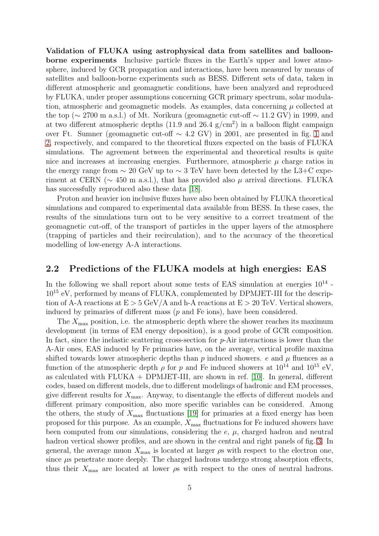Validation of FLUKA using astrophysical data from satellites and balloonborne experiments Inclusive particle fluxes in the Earth's upper and lower atmosphere, induced by GCR propagation and interactions, have been measured by means of satellites and balloon-borne experiments such as BESS. Different sets of data, taken in different atmospheric and geomagnetic conditions, have been analyzed and reproduced by FLUKA, under proper assumptions concerning GCR primary spectrum, solar modulation, atmospheric and geomagnetic models. As examples, data concerning  $\mu$  collected at the top ( $\sim$  2700 m a.s.l.) of Mt. Norikura (geomagnetic cut-off  $\sim$  11.2 GV) in 1999, and at two different atmospheric depths  $(11.9 \text{ and } 26.4 \text{ g/cm}^2)$  in a balloon flight campaign over Ft. Sumner (geomagnetic cut-off ∼ 4.2 GV) in 2001, are presented in fig. [1](#page-3-0) and [2,](#page-3-1) respectively, and compared to the theoretical fluxes expected on the basis of FLUKA simulations. The agreement between the experimental and theoretical results is quite nice and increases at increasing energies. Furthermore, atmospheric  $\mu$  charge ratios in the energy range from  $\sim 20 \text{ GeV}$  up to  $\sim 3 \text{ TeV}$  have been detected by the L3+C experiment at CERN ( $\sim$  450 m a.s.l.), that has provided also  $\mu$  arrival directions. FLUKA has successfully reproduced also these data [\[18\]](#page-7-1).

Proton and heavier ion inclusive fluxes have also been obtained by FLUKA theoretical simulations and compared to experimental data available from BESS. In these cases, the results of the simulations turn out to be very sensitive to a correct treatment of the geomagnetic cut-off, of the transport of particles in the upper layers of the atmosphere (trapping of particles and their recirculation), and to the accuracy of the theoretical modelling of low-energy A-A interactions.

### 2.2 Predictions of the FLUKA models at high energies: EAS

In the following we shall report about some tests of EAS simulation at energies  $10^{14}$  -10<sup>15</sup> eV, performed by means of FLUKA, complemented by DPMJET-III for the description of A-A reactions at  $E > 5$  GeV/A and h-A reactions at  $E > 20$  TeV. Vertical showers, induced by primaries of different mass (p and Fe ions), have been considered.

The  $X_{\text{max}}$  position, i.e. the atmospheric depth where the shower reaches its maximum development (in terms of EM energy deposition), is a good probe of GCR composition. In fact, since the inelastic scattering cross-section for p-Air interactions is lower than the A-Air ones, EAS induced by Fe primaries have, on the average, vertical profile maxima shifted towards lower atmospheric depths than  $p$  induced showers.  $e$  and  $\mu$  fluences as a function of the atmospheric depth  $\rho$  for p and Fe induced showers at  $10^{14}$  and  $10^{15}$  eV, as calculated with FLUKA + DPMJET-III, are shown in ref. [\[10\]](#page-6-9). In general, different codes, based on different models, due to different modelings of hadronic and EM processes, give different results for  $X_{\text{max}}$ . Anyway, to disentangle the effects of different models and different primary composition, also more specific variables can be considered. Among the others, the study of  $X_{\text{max}}$  fluctuations [\[19\]](#page-7-2) for primaries at a fixed energy has been proposed for this purpose. As an example,  $X_{\text{max}}$  fluctuations for Fe induced showers have been computed from our simulations, considering the  $e, \mu$ , charged hadron and neutral hadron vertical shower profiles, and are shown in the central and right panels of fig. [3.](#page-5-0) In general, the average muon  $X_{\text{max}}$  is located at larger  $\rho s$  with respect to the electron one, since  $\mu$ s penetrate more deeply. The charged hadrons undergo strong absorption effects, thus their  $X_{\text{max}}$  are located at lower  $\rho s$  with respect to the ones of neutral hadrons.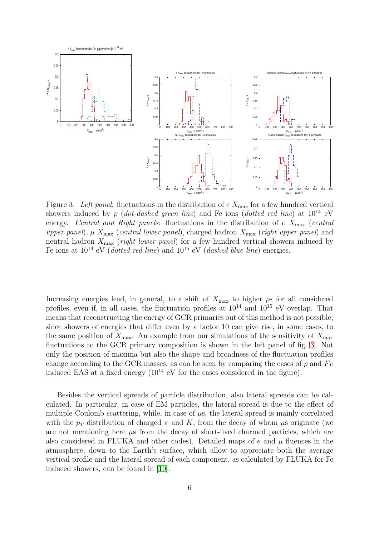

<span id="page-5-0"></span>Figure 3: Left panel: fluctuations in the distribution of  $e$   $X_{\text{max}}$  for a few hundred vertical showers induced by p (dot-dashed green line) and Fe ions (dotted red line) at  $10^{14}$  eV energy. Central and Right panels: fluctuations in the distribution of e  $X_{\text{max}}$  (central upper panel),  $\mu$   $X_{\text{max}}$  (central lower panel), charged hadron  $X_{\text{max}}$  (right upper panel) and neutral hadron  $X_{\text{max}}$  (*right lower panel*) for a few hundred vertical showers induced by Fe ions at  $10^{14}$  eV (dotted red line) and  $10^{15}$  eV (dashed blue line) energies.

Increasing energies lead, in general, to a shift of  $X_{\text{max}}$  to higher  $\rho$ s for all considered profiles, even if, in all cases, the fluctuation profiles at  $10^{14}$  and  $10^{15}$  eV overlap. That means that reconstructing the energy of GCR primaries out of this method is not possible, since showers of energies that differ even by a factor 10 can give rise, in some cases, to the same position of  $X_{\text{max}}$ . An example from our simulations of the sensitivity of  $X_{\text{max}}$ fluctuations to the GCR primary composition is shown in the left panel of fig. [3.](#page-5-0) Not only the position of maxima but also the shape and broadness of the fluctuation profiles change according to the GCR masses, as can be seen by comparing the cases of  $p$  and  $Fe$ induced EAS at a fixed energy  $(10^{14} \text{ eV})$  for the cases considered in the figure).

Besides the vertical spreads of particle distribution, also lateral spreads can be calculated. In particular, in case of EM particles, the lateral spread is due to the effect of multiple Coulomb scattering, while, in case of  $\mu$ s, the lateral spread is mainly correlated with the  $p_T$  distribution of charged  $\pi$  and K, from the decay of whom  $\mu$ s originate (we are not mentioning here  $\mu$ s from the decay of short-lived charmed particles, which are also considered in FLUKA and other codes). Detailed maps of  $e$  and  $\mu$  fluences in the atmosphere, down to the Earth's surface, which allow to appreciate both the average vertical profile and the lateral spread of each component, as calculated by FLUKA for Fe induced showers, can be found in [\[10\]](#page-6-9).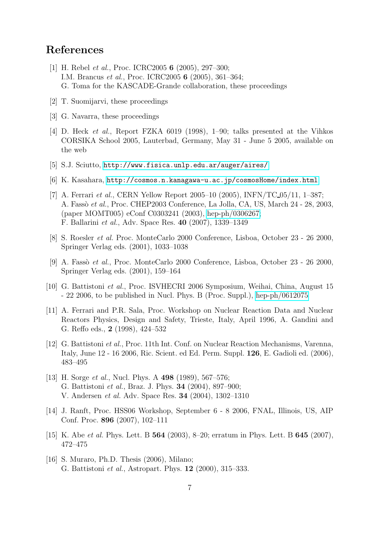# <span id="page-6-0"></span>References

- [1] H. Rebel et al., Proc. ICRC2005 6 (2005), 297–300; I.M. Brancus et al., Proc. ICRC2005 6 (2005), 361–364; G. Toma for the KASCADE-Grande collaboration, these proceedings
- <span id="page-6-2"></span><span id="page-6-1"></span>[2] T. Suomijarvi, these proceedings
- <span id="page-6-3"></span>[3] G. Navarra, these proceedings
- [4] D. Heck et al., Report FZKA 6019 (1998), 1–90; talks presented at the Vihkos CORSIKA School 2005, Lauterbad, Germany, May 31 - June 5 2005, available on the web
- <span id="page-6-5"></span><span id="page-6-4"></span>[5] S.J. Sciutto, <http://www.fisica.unlp.edu.ar/auger/aires/>
- <span id="page-6-6"></span>[6] K. Kasahara, <http://cosmos.n.kanagawa-u.ac.jp/cosmosHome/index.html>
- [7] A. Ferrari et al., CERN Yellow Report 2005–10 (2005), INFN/TC 05/11, 1–387; A. Fassò et al., Proc. CHEP2003 Conference, La Jolla, CA, US, March 24 - 28, 2003, (paper MOMT005) eConf C0303241 (2003), [hep-ph/0306267;](http://it.arXiv.org/abs/hep-ph/0306267) F. Ballarini et al., Adv. Space Res. 40 (2007), 1339–1349
- <span id="page-6-8"></span><span id="page-6-7"></span>[8] S. Roesler et al. Proc. MonteCarlo 2000 Conference, Lisboa, October 23 - 26 2000, Springer Verlag eds. (2001), 1033–1038
- <span id="page-6-9"></span>[9] A. Fassò *et al.*, Proc. MonteCarlo 2000 Conference, Lisboa, October 23 - 26 2000, Springer Verlag eds. (2001), 159–164
- [10] G. Battistoni et al., Proc. ISVHECRI 2006 Symposium, Weihai, China, August 15 - 22 2006, to be published in Nucl. Phys. B (Proc. Suppl.), [hep-ph/0612075](http://it.arXiv.org/abs/hep-ph/0612075)
- <span id="page-6-10"></span>[11] A. Ferrari and P.R. Sala, Proc. Workshop on Nuclear Reaction Data and Nuclear Reactors Physics, Design and Safety, Trieste, Italy, April 1996, A. Gandini and G. Reffo eds., 2 (1998), 424–532
- <span id="page-6-11"></span>[12] G. Battistoni et al., Proc. 11th Int. Conf. on Nuclear Reaction Mechanisms, Varenna, Italy, June 12 - 16 2006, Ric. Scient. ed Ed. Perm. Suppl. 126, E. Gadioli ed. (2006), 483–495
- <span id="page-6-12"></span>[13] H. Sorge *et al.*, Nucl. Phys. A 498 (1989), 567–576; G. Battistoni et al., Braz. J. Phys. 34 (2004), 897–900; V. Andersen et al. Adv. Space Res. 34 (2004), 1302–1310
- <span id="page-6-13"></span>[14] J. Ranft, Proc. HSS06 Workshop, September 6 - 8 2006, FNAL, Illinois, US, AIP Conf. Proc. 896 (2007), 102–111
- <span id="page-6-15"></span><span id="page-6-14"></span>[15] K. Abe *et al.* Phys. Lett. B  $564$  (2003), 8–20; erratum in Phys. Lett. B  $645$  (2007), 472–475
- [16] S. Muraro, Ph.D. Thesis (2006), Milano; G. Battistoni et al., Astropart. Phys. 12 (2000), 315–333.